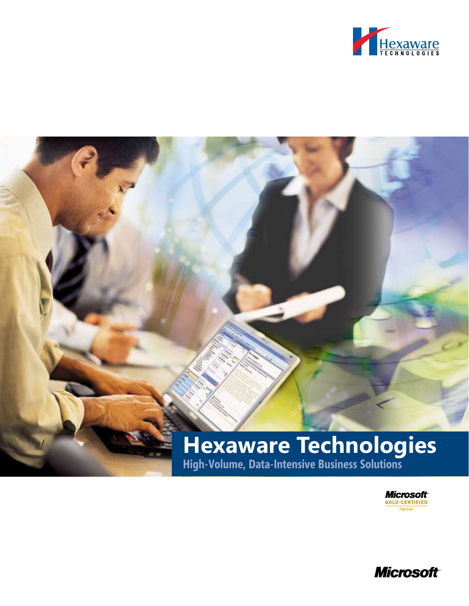

# m<sub>ili</sub>n **Hexaware Technologies High-Volume, Data-Intensive Business Solutions**

Microsoft<br>Gold Certified Partner

**Microsoft**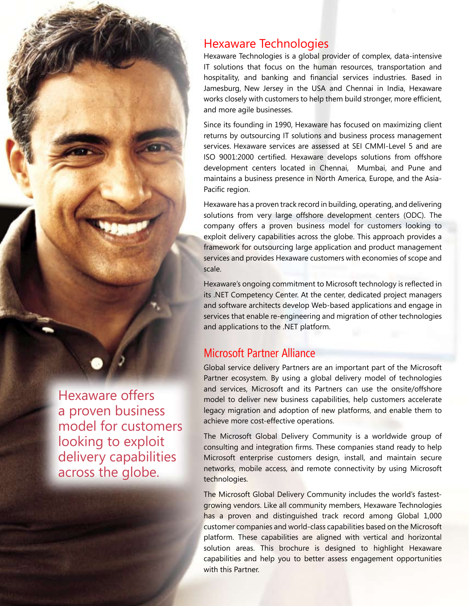

Hexaware Technologies is a global provider of complex, data-intensive IT solutions that focus on the human resources, transportation and hospitality, and banking and financial services industries. Based in Jamesburg, New Jersey in the USA and Chennai in India, Hexaware works closely with customers to help them build stronger, more efficient, and more agile businesses.

Since its founding in 1990, Hexaware has focused on maximizing client returns by outsourcing IT solutions and business process management services. Hexaware services are assessed at SEI CMMI-Level 5 and are ISO 9001:2000 certified. Hexaware develops solutions from offshore development centers located in Chennai, Mumbai, and Pune and maintains a business presence in North America, Europe, and the Asia-Pacific region.

Hexaware has a proven track record in building, operating, and delivering solutions from very large offshore development centers (ODC). The company offers a proven business model for customers looking to exploit delivery capabilities across the globe. This approach provides a framework for outsourcing large application and product management services and provides Hexaware customers with economies of scope and scale.

Hexaware's ongoing commitment to Microsoft technology is reflected in its .NET Competency Center. At the center, dedicated project managers and software architects develop Web-based applications and engage in services that enable re-engineering and migration of other technologies and applications to the .NET platform.

# Microsoft Partner Alliance

Global service delivery Partners are an important part of the Microsoft Partner ecosystem. By using a global delivery model of technologies and services, Microsoft and its Partners can use the onsite/offshore model to deliver new business capabilities, help customers accelerate legacy migration and adoption of new platforms, and enable them to achieve more cost-effective operations.

The Microsoft Global Delivery Community is a worldwide group of consulting and integration firms. These companies stand ready to help Microsoft enterprise customers design, install, and maintain secure networks, mobile access, and remote connectivity by using Microsoft technologies.

The Microsoft Global Delivery Community includes the world's fastestgrowing vendors. Like all community members, Hexaware Technologies has a proven and distinguished track record among Global 1,000 customer companies and world-class capabilities based on the Microsoft platform. These capabilities are aligned with vertical and horizontal solution areas. This brochure is designed to highlight Hexaware capabilities and help you to better assess engagement opportunities with this Partner.

Hexaware offers a proven business model for customers looking to exploit delivery capabilities across the globe.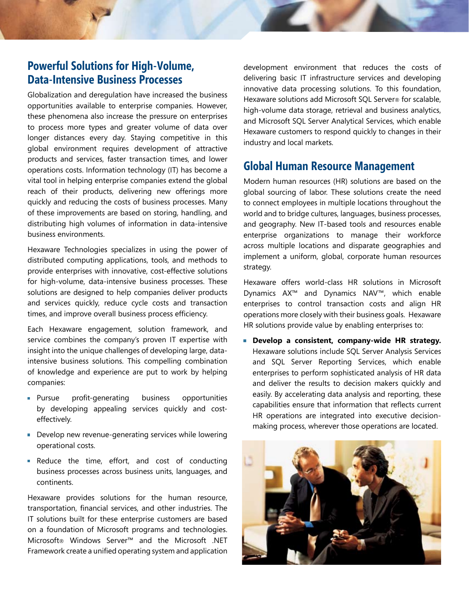# **Powerful Solutions for High-Volume, Data-Intensive Business Processes**

Globalization and deregulation have increased the business opportunities available to enterprise companies. However, these phenomena also increase the pressure on enterprises to process more types and greater volume of data over longer distances every day. Staying competitive in this global environment requires development of attractive products and services, faster transaction times, and lower operations costs. Information technology (IT) has become a vital tool in helping enterprise companies extend the global reach of their products, delivering new offerings more quickly and reducing the costs of business processes. Many of these improvements are based on storing, handling, and distributing high volumes of information in data-intensive business environments.

Hexaware Technologies specializes in using the power of distributed computing applications, tools, and methods to provide enterprises with innovative, cost-effective solutions for high-volume, data-intensive business processes. These solutions are designed to help companies deliver products and services quickly, reduce cycle costs and transaction times, and improve overall business process efficiency.

Each Hexaware engagement, solution framework, and service combines the company's proven IT expertise with insight into the unique challenges of developing large, dataintensive business solutions. This compelling combination of knowledge and experience are put to work by helping companies:

- **Pursue profit-generating business opportunities** by developing appealing services quickly and costeffectively.
- Develop new revenue-generating services while lowering operational costs.
- **Reduce the time, effort, and cost of conducting** business processes across business units, languages, and continents.

Hexaware provides solutions for the human resource, transportation, financial services, and other industries. The IT solutions built for these enterprise customers are based on a foundation of Microsoft programs and technologies. Microsoft® Windows Server™ and the Microsoft .NET Framework create a unified operating system and application development environment that reduces the costs of delivering basic IT infrastructure services and developing innovative data processing solutions. To this foundation, Hexaware solutions add Microsoft SQL Server® for scalable, high-volume data storage, retrieval and business analytics, and Microsoft SQL Server Analytical Services, which enable Hexaware customers to respond quickly to changes in their industry and local markets.

# **Global Human Resource Management**

Modern human resources (HR) solutions are based on the global sourcing of labor. These solutions create the need to connect employees in multiple locations throughout the world and to bridge cultures, languages, business processes, and geography. New IT-based tools and resources enable enterprise organizations to manage their workforce across multiple locations and disparate geographies and implement a uniform, global, corporate human resources strategy.

Hexaware offers world-class HR solutions in Microsoft Dynamics AX™ and Dynamics NAV™, which enable enterprises to control transaction costs and align HR operations more closely with their business goals. Hexaware HR solutions provide value by enabling enterprises to:

**Develop a consistent, company-wide HR strategy.**  Hexaware solutions include SQL Server Analysis Services and SQL Server Reporting Services, which enable enterprises to perform sophisticated analysis of HR data and deliver the results to decision makers quickly and easily. By accelerating data analysis and reporting, these capabilities ensure that information that reflects current HR operations are integrated into executive decisionmaking process, wherever those operations are located.

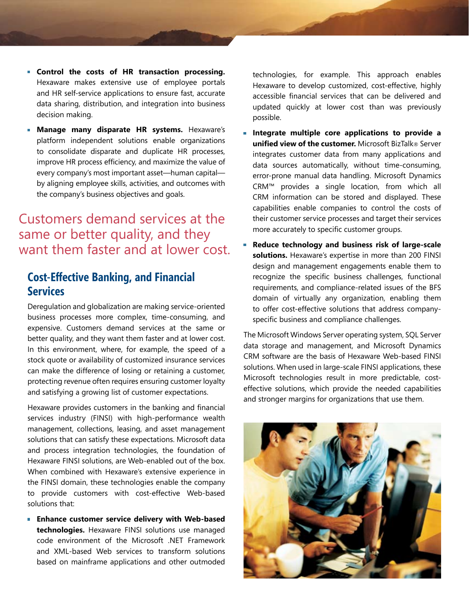- **Control the costs of HR transaction processing.** Hexaware makes extensive use of employee portals and HR self-service applications to ensure fast, accurate data sharing, distribution, and integration into business decision making.
- **Manage many disparate HR systems.** Hexaware's platform independent solutions enable organizations to consolidate disparate and duplicate HR processes, improve HR process efficiency, and maximize the value of every company's most important asset—human capital by aligning employee skills, activities, and outcomes with the company's business objectives and goals.

# Customers demand services at the same or better quality, and they want them faster and at lower cost.

## **Cost-Effective Banking, and Financial Services**

Deregulation and globalization are making service-oriented business processes more complex, time-consuming, and expensive. Customers demand services at the same or better quality, and they want them faster and at lower cost. In this environment, where, for example, the speed of a stock quote or availability of customized insurance services can make the difference of losing or retaining a customer, protecting revenue often requires ensuring customer loyalty and satisfying a growing list of customer expectations.

Hexaware provides customers in the banking and financial services industry (FINSI) with high-performance wealth management, collections, leasing, and asset management solutions that can satisfy these expectations. Microsoft data and process integration technologies, the foundation of Hexaware FINSI solutions, are Web-enabled out of the box. When combined with Hexaware's extensive experience in the FINSI domain, these technologies enable the company to provide customers with cost-effective Web-based solutions that:

**Enhance customer service delivery with Web-based technologies.** Hexaware FINSI solutions use managed code environment of the Microsoft .NET Framework and XML-based Web services to transform solutions based on mainframe applications and other outmoded

technologies, for example. This approach enables Hexaware to develop customized, cost-effective, highly accessible financial services that can be delivered and updated quickly at lower cost than was previously possible.

- **Integrate multiple core applications to provide a unified view of the customer.** Microsoft BizTalk® Server integrates customer data from many applications and data sources automatically, without time-consuming, error-prone manual data handling. Microsoft Dynamics CRM™ provides a single location, from which all CRM information can be stored and displayed. These capabilities enable companies to control the costs of their customer service processes and target their services more accurately to specific customer groups.
- **Reduce technology and business risk of large-scale solutions.** Hexaware's expertise in more than 200 FINSI design and management engagements enable them to recognize the specific business challenges, functional requirements, and compliance-related issues of the BFS domain of virtually any organization, enabling them to offer cost-effective solutions that address companyspecific business and compliance challenges.

The Microsoft Windows Server operating system, SQL Server data storage and management, and Microsoft Dynamics CRM software are the basis of Hexaware Web-based FINSI solutions. When used in large-scale FINSI applications, these Microsoft technologies result in more predictable, costeffective solutions, which provide the needed capabilities and stronger margins for organizations that use them.

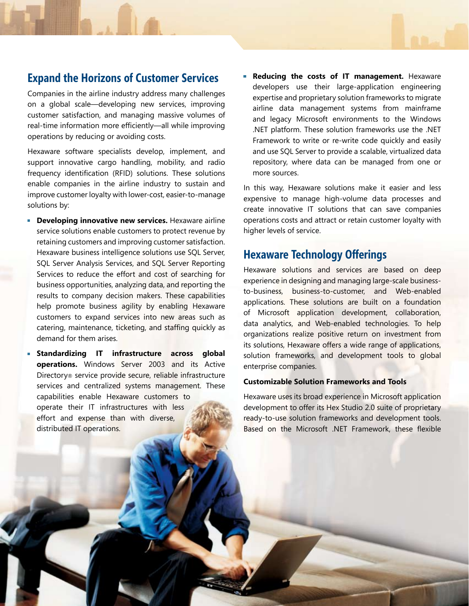# **Expand the Horizons of Customer Services**

Companies in the airline industry address many challenges on a global scale—developing new services, improving customer satisfaction, and managing massive volumes of real-time information more efficiently—all while improving operations by reducing or avoiding costs.

Hexaware software specialists develop, implement, and support innovative cargo handling, mobility, and radio frequency identification (RFID) solutions. These solutions enable companies in the airline industry to sustain and improve customer loyalty with lower-cost, easier-to-manage solutions by:

- **Developing innovative new services.** Hexaware airline service solutions enable customers to protect revenue by retaining customers and improving customer satisfaction. Hexaware business intelligence solutions use SQL Server, SQL Server Analysis Services, and SQL Server Reporting Services to reduce the effort and cost of searching for business opportunities, analyzing data, and reporting the results to company decision makers. These capabilities help promote business agility by enabling Hexaware customers to expand services into new areas such as catering, maintenance, ticketing, and staffing quickly as demand for them arises.
- **Standardizing IT infrastructure across global operations.** Windows Server 2003 and its Active Directory® service provide secure, reliable infrastructure services and centralized systems management. These capabilities enable Hexaware customers to operate their IT infrastructures with less effort and expense than with diverse, distributed IT operations.

**Reducing the costs of IT management.** Hexaware developers use their large-application engineering expertise and proprietary solution frameworks to migrate airline data management systems from mainframe and legacy Microsoft environments to the Windows .NET platform. These solution frameworks use the .NET Framework to write or re-write code quickly and easily and use SQL Server to provide a scalable, virtualized data repository, where data can be managed from one or more sources.

In this way, Hexaware solutions make it easier and less expensive to manage high-volume data processes and create innovative IT solutions that can save companies operations costs and attract or retain customer loyalty with higher levels of service.

## **Hexaware Technology Offerings**

Hexaware solutions and services are based on deep experience in designing and managing large-scale businessto-business, business-to-customer, and Web-enabled applications. These solutions are built on a foundation of Microsoft application development, collaboration, data analytics, and Web-enabled technologies. To help organizations realize positive return on investment from its solutions, Hexaware offers a wide range of applications, solution frameworks, and development tools to global enterprise companies.

#### **Customizable Solution Frameworks and Tools**

Hexaware uses its broad experience in Microsoft application development to offer its Hex Studio 2.0 suite of proprietary ready-to-use solution frameworks and development tools. Based on the Microsoft .NET Framework, these flexible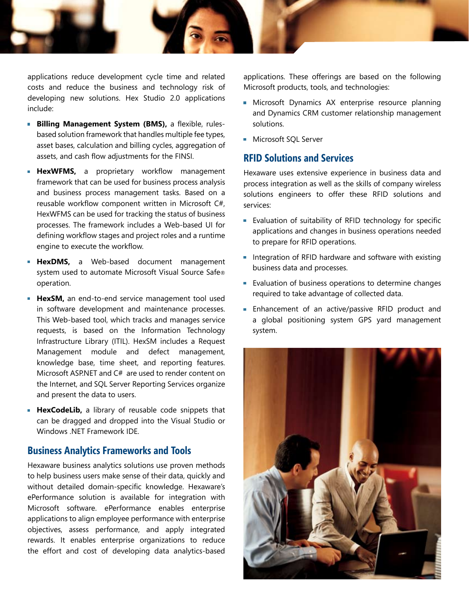

applications reduce development cycle time and related costs and reduce the business and technology risk of developing new solutions. Hex Studio 2.0 applications include:

- **Billing Management System (BMS),** a flexible, rulesbased solution framework that handles multiple fee types, asset bases, calculation and billing cycles, aggregation of assets, and cash flow adjustments for the FINSI.
- **HexWFMS,** a proprietary workflow management framework that can be used for business process analysis and business process management tasks. Based on a reusable workflow component written in Microsoft C#, HexWFMS can be used for tracking the status of business processes. The framework includes a Web-based UI for defining workflow stages and project roles and a runtime engine to execute the workflow.
- **HexDMS,** a Web-based document management system used to automate Microsoft Visual Source Safe® operation.
- **HexSM,** an end-to-end service management tool used in software development and maintenance processes. This Web-based tool, which tracks and manages service requests, is based on the Information Technology Infrastructure Library (ITIL). HexSM includes a Request Management module and defect management, knowledge base, time sheet, and reporting features. Microsoft ASP.NET and C# are used to render content on the Internet, and SQL Server Reporting Services organize and present the data to users.
- **HexCodeLib,** a library of reusable code snippets that can be dragged and dropped into the Visual Studio or Windows .NET Framework IDE.

#### **Business Analytics Frameworks and Tools**

Hexaware business analytics solutions use proven methods to help business users make sense of their data, quickly and without detailed domain-specific knowledge. Hexaware's ePerformance solution is available for integration with Microsoft software. ePerformance enables enterprise applications to align employee performance with enterprise objectives, assess performance, and apply integrated rewards. It enables enterprise organizations to reduce the effort and cost of developing data analytics-based

applications. These offerings are based on the following Microsoft products, tools, and technologies:

- **Microsoft Dynamics AX enterprise resource planning** and Dynamics CRM customer relationship management solutions.
- **Microsoft SOL Server**

### **RFID Solutions and Services**

Hexaware uses extensive experience in business data and process integration as well as the skills of company wireless solutions engineers to offer these RFID solutions and services:

- Evaluation of suitability of RFID technology for specific applications and changes in business operations needed to prepare for RFID operations.
- Integration of RFID hardware and software with existing business data and processes.
- **Evaluation of business operations to determine changes** required to take advantage of collected data.
- **Enhancement of an active/passive RFID product and** a global positioning system GPS yard management system.

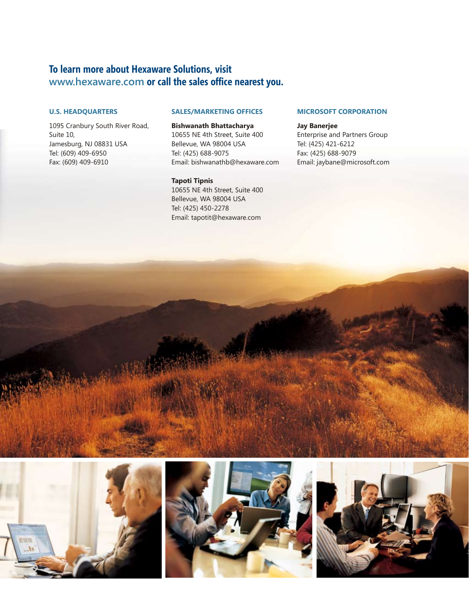## **To learn more about Hexaware Solutions, visit www.hexaware.com or call the sales office nearest you.**

#### **U.S. HEADQUARTERS**

1095 Cranbury South River Road, Suite 10, Jamesburg, NJ 08831 USA Tel: (609) 409-6950 Fax: (609) 409-6910

#### **SALES/MARKETING OFFICES**

**Bishwanath Bhattacharya** 10655 NE 4th Street, Suite 400 Bellevue, WA 98004 USA Tel: (425) 688-9075 Email: bishwanathb@hexaware.com

**Tapoti Tipnis**  10655 NE 4th Street, Suite 400 Bellevue, WA 98004 USA Tel: (425) 450-2278 Email: tapotit@hexaware.com

#### **MICROSOFT CORPORATION**

**Jay Banerjee** Enterprise and Partners Group Tel: (425) 421-6212 Fax: (425) 688-9079 Email: jaybane@microsoft.com